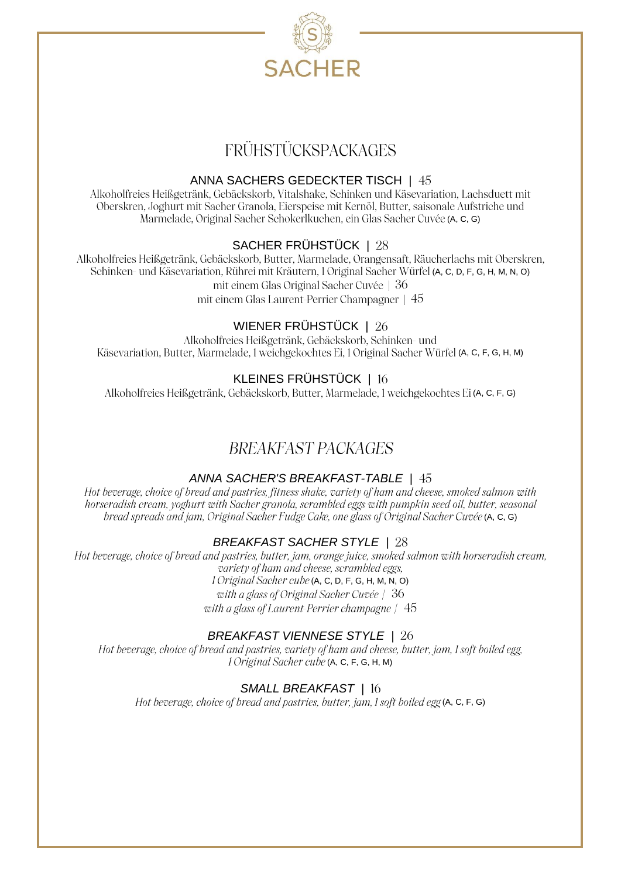

# FRÜHSTÜCKSPACKAGES

#### ANNA SACHERS GEDECKTER TISCH |

Alkoholfreies Heißgetränk, Gebäckskorb, Vitalshake, Schinken und Käsevariation, Lachsduett mit Oberskren, Joghurt mit Sacher Granola, Eierspeise mit Kernöl, Butter, saisonale Aufstriche und Marmelade, Original Sacher Schokerlkuchen, ein Glas Sacher Cuvée (A, C, G)

SACHER FRÜHSTÜCK | 28<br>Alkoholfreies Heißgetränk, Gebäckskorb, Butter, Marmelade, Orangensaft, Räucherlachs mit Oberskren, Schinken- und Käsevariation, Rührei mit Kräutern, 1 Original Sacher Würfel (A, C, D, F, G, H, M, N, O) mit einem Glas Original Sacher Cuvée | 36 mit einem Glas Laurent-Perrier Champagner | 45

WIENER FRÜHSTÜCK | 26<br>Alkoholfreies Heißgetränk, Gebäckskorb, Schinken- und Käsevariation, Butter, Marmelade, 1 weichgekochtes Ei, 1 Original Sacher Würfel (A, C, F, G, H, M)

### KLEINES FRÜHSTÜCK | 16

Alkoholfreies Heißgetränk, Gebäckskorb, Butter, Marmelade, 1 weichgekochtes Ei (A, C, F, G)

## BREAKFAST PACKAGES

### *ANNA SACHER'S BREAKFAST-TABLE |*

Hot beverage, choice of bread and pastries, fitness shake, variety of ham and cheese, smoked salmon with horseradish cream, yoghurt with Sacher granola, scrambled eggs with pumpkin seed oil, butter, seasonal bread spreads and jam, Original Sacher Fudge Cake, one glass of Original Sacher Cuvée (A, C, G)

### *BREAKFAST SACHER STYLE |*

Hot beverage, choice of bread and pastries, butter, jam, orange juice, smoked salmon with horseradish cream, variety of ham and cheese. scrambled eggs. 1 Original Sacher cube (A, C, D, F, G, H, M, N, O) with a glass of Original Sacher Cuvée | 36 with a glass of Laurent-Perrier champagne  $/45$ 

### *BREAKFAST VIENNESE STYLE |*

Hot beverage, choice of bread and pastries, variety of ham and cheese, butter, jam, I soft boiled egg, 1 Original Sacher cube (A, C, F, G, H, M)

### *SMALL BREAKFAST |*

Hot beverage, choice of bread and pastries, butter, jam,  $1$  soft boiled egg (A, C, F, G)